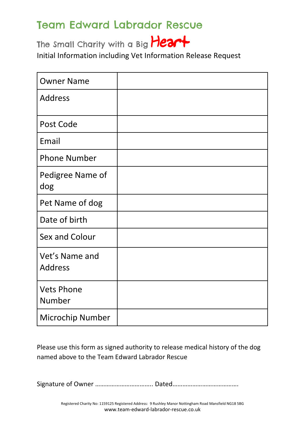The Small Charity with a Big Heart

Initial Information including Vet Information Release Request

| <b>Owner Name</b>                |  |
|----------------------------------|--|
| <b>Address</b>                   |  |
| Post Code                        |  |
| Email                            |  |
| <b>Phone Number</b>              |  |
| Pedigree Name of<br>dog          |  |
| Pet Name of dog                  |  |
| Date of birth                    |  |
| <b>Sex and Colour</b>            |  |
| Vet's Name and<br><b>Address</b> |  |
| <b>Vets Phone</b><br>Number      |  |
| <b>Microchip Number</b>          |  |

Please use this form as signed authority to release medical history of the dog named above to the Team Edward Labrador Rescue

Signature of Owner …………………………….. Dated………………………………….

Registered Charity No: 1159125 Registered Address: 9 Rushley Manor Nottingham Road Mansfield NG18 5BG www.team-edward-labrador-rescue.co.uk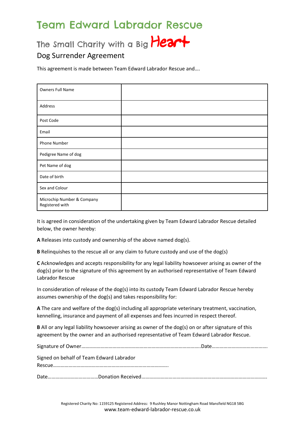## The Small Charity with a Big Heart

#### Dog Surrender Agreement

This agreement is made between Team Edward Labrador Rescue and….

| <b>Owners Full Name</b>                       |  |
|-----------------------------------------------|--|
| Address                                       |  |
| Post Code                                     |  |
| Email                                         |  |
| Phone Number                                  |  |
| Pedigree Name of dog                          |  |
| Pet Name of dog                               |  |
| Date of birth                                 |  |
| Sex and Colour                                |  |
| Microchip Number & Company<br>Registered with |  |

It is agreed in consideration of the undertaking given by Team Edward Labrador Rescue detailed below, the owner hereby:

**A** Releases into custody and ownership of the above named dog(s).

**B** Relinquishes to the rescue all or any claim to future custody and use of the dog(s)

**C** Acknowledges and accepts responsibility for any legal liability howsoever arising as owner of the dog(s) prior to the signature of this agreement by an authorised representative of Team Edward Labrador Rescue

In consideration of release of the dog(s) into its custody Team Edward Labrador Rescue hereby assumes ownership of the dog(s) and takes responsibility for:

**A** The care and welfare of the dog(s) including all appropriate veterinary treatment, vaccination, kennelling, insurance and payment of all expenses and fees incurred in respect thereof.

**B** All or any legal liability howsoever arising as owner of the dog(s) on or after signature of this agreement by the owner and an authorised representative of Team Edward Labrador Rescue.

Signature of Owner………………………………………………………………………………..Date…………………………………….

Signed on behalf of Team Edward Labrador

Rescue……………………………………………………………………………..

Date…………………………………Donation Received…………………………………………………………………………………….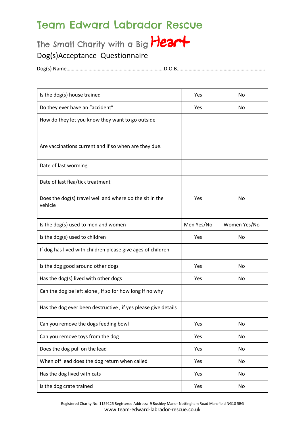### The Small Charity with a Big Heart Dog(s)Acceptance Questionnaire

Dog(s) Name…………………………………………………………………D.O.B…………………………………………………………..

| Is the dog(s) house trained                                        | Yes        | No           |
|--------------------------------------------------------------------|------------|--------------|
| Do they ever have an "accident"                                    | Yes        | No           |
| How do they let you know they want to go outside                   |            |              |
| Are vaccinations current and if so when are they due.              |            |              |
| Date of last worming                                               |            |              |
| Date of last flea/tick treatment                                   |            |              |
| Does the dog(s) travel well and where do the sit in the<br>vehicle | Yes        | No           |
| Is the dog(s) used to men and women                                | Men Yes/No | Women Yes/No |
| Is the dog(s) used to children                                     | Yes        | No           |
| If dog has lived with children please give ages of children        |            |              |
| Is the dog good around other dogs                                  | Yes        | No           |
| Has the dog(s) lived with other dogs                               | Yes        | No           |
| Can the dog be left alone, if so for how long if no why            |            |              |
| Has the dog ever been destructive, if yes please give details      |            |              |
| Can you remove the dogs feeding bowl                               | Yes        | No           |
| Can you remove toys from the dog                                   | Yes        | No           |
| Does the dog pull on the lead                                      | Yes        | No           |
| When off lead does the dog return when called                      | Yes        | No           |
| Has the dog lived with cats                                        | Yes        | No           |
| Is the dog crate trained                                           | Yes        | No           |

Registered Charity No: 1159125 Registered Address: 9 Rushley Manor Nottingham Road Mansfield NG18 5BG www.team-edward-labrador-rescue.co.uk